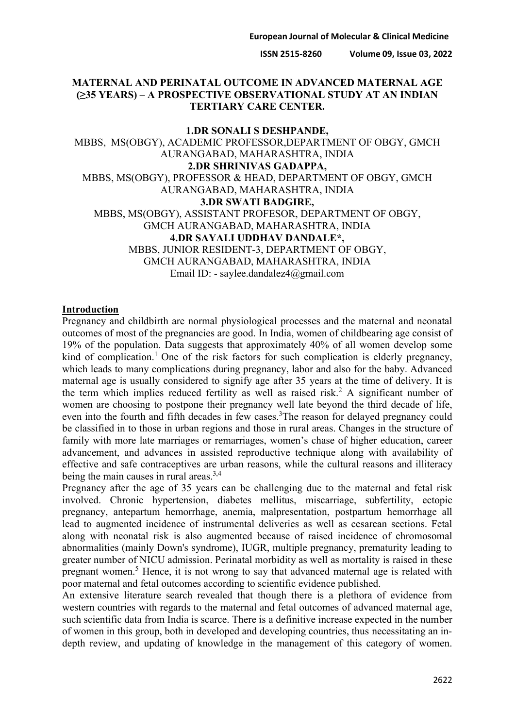# **MATERNAL AND PERINATAL OUTCOME IN ADVANCED MATERNAL AGE (≥35 YEARS) – A PROSPECTIVE OBSERVATIONAL STUDY AT AN INDIAN TERTIARY CARE CENTER.**

**1.DR SONALI S DESHPANDE,**  MBBS, MS(OBGY), ACADEMIC PROFESSOR,DEPARTMENT OF OBGY, GMCH AURANGABAD, MAHARASHTRA, INDIA **2.DR SHRINIVAS GADAPPA,**  MBBS, MS(OBGY), PROFESSOR & HEAD, DEPARTMENT OF OBGY, GMCH AURANGABAD, MAHARASHTRA, INDIA **3.DR SWATI BADGIRE,**  MBBS, MS(OBGY), ASSISTANT PROFESOR, DEPARTMENT OF OBGY, GMCH AURANGABAD, MAHARASHTRA, INDIA **4.DR SAYALI UDDHAV DANDALE\*,**  MBBS, JUNIOR RESIDENT-3, DEPARTMENT OF OBGY, GMCH AURANGABAD, MAHARASHTRA, INDIA Email ID: - saylee.dandalez4@gmail.com

#### **Introduction**

Pregnancy and childbirth are normal physiological processes and the maternal and neonatal outcomes of most of the pregnancies are good. In India, women of childbearing age consist of 19% of the population. Data suggests that approximately 40% of all women develop some kind of complication.<sup>1</sup> One of the risk factors for such complication is elderly pregnancy, which leads to many complications during pregnancy, labor and also for the baby. Advanced maternal age is usually considered to signify age after 35 years at the time of delivery. It is the term which implies reduced fertility as well as raised risk.<sup>2</sup> A significant number of women are choosing to postpone their pregnancy well late beyond the third decade of life, even into the fourth and fifth decades in few cases.<sup>3</sup>The reason for delayed pregnancy could be classified in to those in urban regions and those in rural areas. Changes in the structure of family with more late marriages or remarriages, women's chase of higher education, career advancement, and advances in assisted reproductive technique along with availability of effective and safe contraceptives are urban reasons, while the cultural reasons and illiteracy being the main causes in rural areas.<sup>3,4</sup>

Pregnancy after the age of 35 years can be challenging due to the maternal and fetal risk involved. Chronic hypertension, diabetes mellitus, miscarriage, subfertility, ectopic pregnancy, antepartum hemorrhage, anemia, malpresentation, postpartum hemorrhage all lead to augmented incidence of instrumental deliveries as well as cesarean sections. Fetal along with neonatal risk is also augmented because of raised incidence of chromosomal abnormalities (mainly Down's syndrome), IUGR, multiple pregnancy, prematurity leading to greater number of NICU admission. Perinatal morbidity as well as mortality is raised in these pregnant women.<sup>5</sup> Hence, it is not wrong to say that advanced maternal age is related with poor maternal and fetal outcomes according to scientific evidence published.

An extensive literature search revealed that though there is a plethora of evidence from western countries with regards to the maternal and fetal outcomes of advanced maternal age, such scientific data from India is scarce. There is a definitive increase expected in the number of women in this group, both in developed and developing countries, thus necessitating an indepth review, and updating of knowledge in the management of this category of women.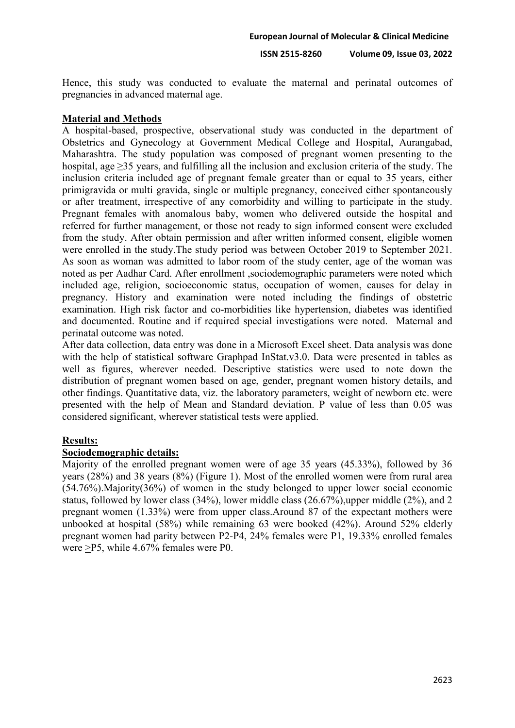Hence, this study was conducted to evaluate the maternal and perinatal outcomes of pregnancies in advanced maternal age.

# **Material and Methods**

A hospital-based, prospective, observational study was conducted in the department of Obstetrics and Gynecology at Government Medical College and Hospital, Aurangabad, Maharashtra. The study population was composed of pregnant women presenting to the hospital, age ≥35 years, and fulfilling all the inclusion and exclusion criteria of the study. The inclusion criteria included age of pregnant female greater than or equal to 35 years, either primigravida or multi gravida, single or multiple pregnancy, conceived either spontaneously or after treatment, irrespective of any comorbidity and willing to participate in the study. Pregnant females with anomalous baby, women who delivered outside the hospital and referred for further management, or those not ready to sign informed consent were excluded from the study. After obtain permission and after written informed consent, eligible women were enrolled in the study.The study period was between October 2019 to September 2021. As soon as woman was admitted to labor room of the study center, age of the woman was noted as per Aadhar Card. After enrollment ,sociodemographic parameters were noted which included age, religion, socioeconomic status, occupation of women, causes for delay in pregnancy. History and examination were noted including the findings of obstetric examination. High risk factor and co-morbidities like hypertension, diabetes was identified and documented. Routine and if required special investigations were noted. Maternal and perinatal outcome was noted.

After data collection, data entry was done in a Microsoft Excel sheet. Data analysis was done with the help of statistical software Graphpad InStat.v3.0. Data were presented in tables as well as figures, wherever needed. Descriptive statistics were used to note down the distribution of pregnant women based on age, gender, pregnant women history details, and other findings. Quantitative data, viz. the laboratory parameters, weight of newborn etc. were presented with the help of Mean and Standard deviation. P value of less than 0.05 was considered significant, wherever statistical tests were applied.

# **Results:**

# **Sociodemographic details:**

Majority of the enrolled pregnant women were of age 35 years (45.33%), followed by 36 years (28%) and 38 years (8%) (Figure 1). Most of the enrolled women were from rural area (54.76%).Majority(36%) of women in the study belonged to upper lower social economic status, followed by lower class (34%), lower middle class (26.67%),upper middle (2%), and 2 pregnant women (1.33%) were from upper class.Around 87 of the expectant mothers were unbooked at hospital (58%) while remaining 63 were booked (42%). Around 52% elderly pregnant women had parity between P2-P4, 24% females were P1, 19.33% enrolled females were >P5, while 4.67% females were P0.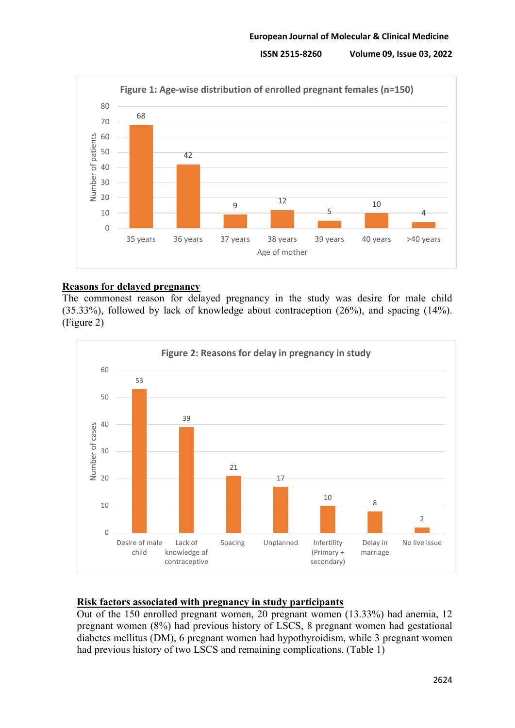

# **Reasons for delayed pregnancy**

The commonest reason for delayed pregnancy in the study was desire for male child (35.33%), followed by lack of knowledge about contraception (26%), and spacing (14%). (Figure 2)



# **Risk factors associated with pregnancy in study participants**

Out of the 150 enrolled pregnant women, 20 pregnant women (13.33%) had anemia, 12 pregnant women (8%) had previous history of LSCS, 8 pregnant women had gestational diabetes mellitus (DM), 6 pregnant women had hypothyroidism, while 3 pregnant women had previous history of two LSCS and remaining complications. (Table 1)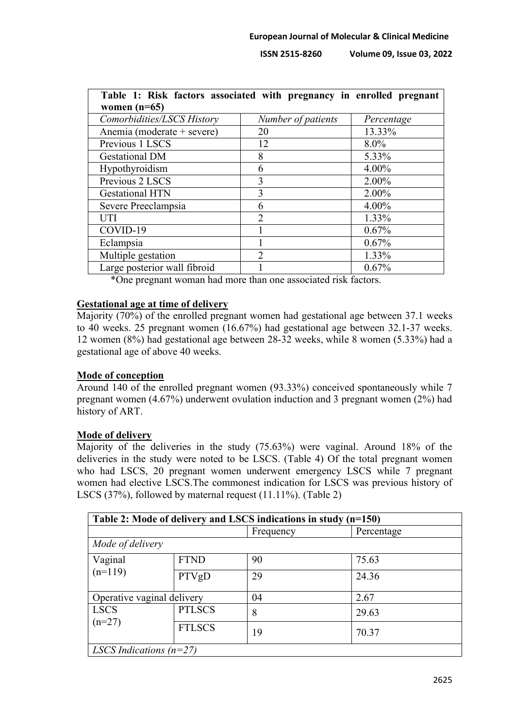| Table 1: Risk factors associated with pregnancy in enrolled pregnant<br>women $(n=65)$ |                    |            |  |  |  |
|----------------------------------------------------------------------------------------|--------------------|------------|--|--|--|
| Comorbidities/LSCS History                                                             | Number of patients | Percentage |  |  |  |
| Anemia (moderate + severe)                                                             | 20                 | 13.33%     |  |  |  |
| Previous 1 LSCS                                                                        | 12                 | $8.0\%$    |  |  |  |
| <b>Gestational DM</b>                                                                  | 8                  | 5.33%      |  |  |  |
| Hypothyroidism                                                                         | 6                  | 4.00%      |  |  |  |
| Previous 2 LSCS                                                                        | 3                  | 2.00%      |  |  |  |
| <b>Gestational HTN</b>                                                                 | 3                  | 2.00%      |  |  |  |
| Severe Preeclampsia                                                                    | 6                  | 4.00%      |  |  |  |
| UTI                                                                                    | $\overline{2}$     | 1.33%      |  |  |  |
| COVID-19                                                                               |                    | 0.67%      |  |  |  |
| Eclampsia                                                                              |                    | 0.67%      |  |  |  |
| Multiple gestation                                                                     | $\mathcal{D}$      | 1.33%      |  |  |  |
| Large posterior wall fibroid                                                           |                    | 0.67%      |  |  |  |

\*One pregnant woman had more than one associated risk factors.

#### **Gestational age at time of delivery**

Majority (70%) of the enrolled pregnant women had gestational age between 37.1 weeks to 40 weeks. 25 pregnant women (16.67%) had gestational age between 32.1-37 weeks. 12 women (8%) had gestational age between 28-32 weeks, while 8 women (5.33%) had a gestational age of above 40 weeks.

# **Mode of conception**

Around 140 of the enrolled pregnant women (93.33%) conceived spontaneously while 7 pregnant women (4.67%) underwent ovulation induction and 3 pregnant women (2%) had history of ART.

# **Mode of delivery**

Majority of the deliveries in the study (75.63%) were vaginal. Around 18% of the deliveries in the study were noted to be LSCS. (Table 4) Of the total pregnant women who had LSCS, 20 pregnant women underwent emergency LSCS while 7 pregnant women had elective LSCS.The commonest indication for LSCS was previous history of LSCS (37%), followed by maternal request (11.11%). (Table 2)

| Table 2: Mode of delivery and LSCS indications in study (n=150) |               |           |            |  |  |
|-----------------------------------------------------------------|---------------|-----------|------------|--|--|
|                                                                 |               | Frequency | Percentage |  |  |
| Mode of delivery                                                |               |           |            |  |  |
| Vaginal                                                         | <b>FTND</b>   | 90        | 75.63      |  |  |
| $(n=119)$                                                       | PTVgD         | 29        | 24.36      |  |  |
| Operative vaginal delivery                                      |               | 04        | 2.67       |  |  |
| <b>LSCS</b>                                                     | <b>PTLSCS</b> | 8         | 29.63      |  |  |
| $(n=27)$                                                        | <b>FTLSCS</b> | 19        | 70.37      |  |  |
| LSCS Indications $(n=27)$                                       |               |           |            |  |  |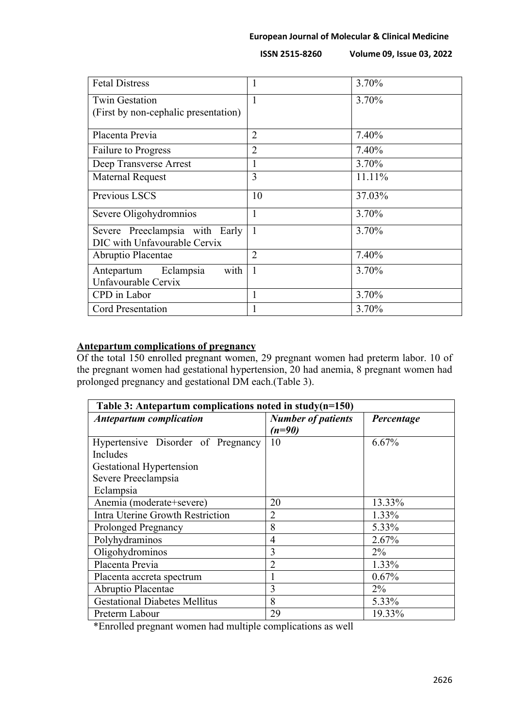| <b>Fetal Distress</b>                                          |                | 3.70%  |
|----------------------------------------------------------------|----------------|--------|
| <b>Twin Gestation</b>                                          | 1              | 3.70%  |
| (First by non-cephalic presentation)                           |                |        |
| Placenta Previa                                                | $\overline{2}$ | 7.40%  |
| <b>Failure to Progress</b>                                     | $\overline{2}$ | 7.40%  |
| Deep Transverse Arrest                                         |                | 3.70%  |
| <b>Maternal Request</b>                                        | 3              | 11.11% |
| Previous LSCS                                                  | 10             | 37.03% |
| Severe Oligohydromnios                                         | $\mathbf{I}$   | 3.70%  |
| Severe Preeclampsia with Early<br>DIC with Unfavourable Cervix | $\mathbf{1}$   | 3.70%  |
| Abruptio Placentae                                             | $\overline{2}$ | 7.40%  |
| with<br>Antepartum Eclampsia                                   | 1              | 3.70%  |
| Unfavourable Cervix                                            |                |        |
| CPD in Labor                                                   | 1              | 3.70%  |
| <b>Cord Presentation</b>                                       |                | 3.70%  |

# **Antepartum complications of pregnancy**

Of the total 150 enrolled pregnant women, 29 pregnant women had preterm labor. 10 of the pregnant women had gestational hypertension, 20 had anemia, 8 pregnant women had prolonged pregnancy and gestational DM each.(Table 3).

| Table 3: Antepartum complications noted in study( $n=150$ ) |                           |            |  |  |  |
|-------------------------------------------------------------|---------------------------|------------|--|--|--|
| <b>Antepartum complication</b>                              | <b>Number of patients</b> | Percentage |  |  |  |
|                                                             | $(n=90)$                  |            |  |  |  |
| Hypertensive Disorder of Pregnancy                          | 10                        | 6.67%      |  |  |  |
| <b>Includes</b>                                             |                           |            |  |  |  |
| <b>Gestational Hypertension</b>                             |                           |            |  |  |  |
| Severe Preeclampsia                                         |                           |            |  |  |  |
| Eclampsia                                                   |                           |            |  |  |  |
| Anemia (moderate+severe)                                    | 20                        | 13.33%     |  |  |  |
| Intra Uterine Growth Restriction                            | $\overline{2}$            | 1.33%      |  |  |  |
| <b>Prolonged Pregnancy</b>                                  | 8                         | 5.33%      |  |  |  |
| Polyhydraminos                                              | $\overline{4}$            | 2.67%      |  |  |  |
| Oligohydrominos                                             | 3                         | $2\%$      |  |  |  |
| Placenta Previa                                             | $\overline{2}$            | 1.33%      |  |  |  |
| Placenta accreta spectrum                                   |                           | 0.67%      |  |  |  |
| Abruptio Placentae                                          | 3                         | $2\%$      |  |  |  |
| <b>Gestational Diabetes Mellitus</b>                        | 8                         | 5.33%      |  |  |  |
| Preterm Labour                                              | 29                        | 19.33%     |  |  |  |

\*Enrolled pregnant women had multiple complications as well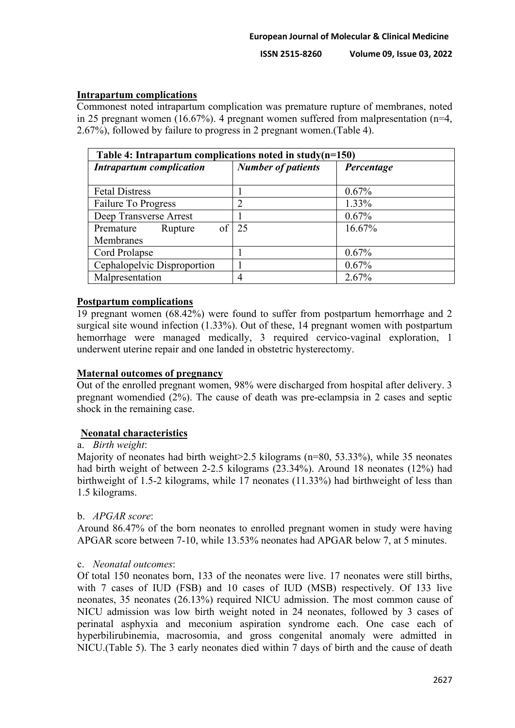# **Intrapartum complications**

Commonest noted intrapartum complication was premature rupture of membranes, noted in 25 pregnant women (16.67%). 4 pregnant women suffered from malpresentation (n=4, 2.67%), followed by failure to progress in 2 pregnant women.(Table 4).

| Table 4: Intrapartum complications noted in study( $n=150$ ) |                           |            |  |  |  |
|--------------------------------------------------------------|---------------------------|------------|--|--|--|
| <b>Intrapartum complication</b>                              | <b>Number of patients</b> | Percentage |  |  |  |
|                                                              |                           |            |  |  |  |
| <b>Fetal Distress</b>                                        |                           | 0.67%      |  |  |  |
| Failure To Progress                                          | $\overline{2}$            | 1.33%      |  |  |  |
| Deep Transverse Arrest                                       |                           | $0.67\%$   |  |  |  |
| Premature<br>Rupture                                         | of $\vert$ 25             | 16.67%     |  |  |  |
| <b>Membranes</b>                                             |                           |            |  |  |  |
| Cord Prolapse                                                |                           | 0.67%      |  |  |  |
| Cephalopelvic Disproportion                                  |                           | 0.67%      |  |  |  |
| Malpresentation                                              | 4                         | 2.67%      |  |  |  |

#### **Postpartum complications**

19 pregnant women (68.42%) were found to suffer from postpartum hemorrhage and 2 surgical site wound infection (1.33%). Out of these, 14 pregnant women with postpartum hemorrhage were managed medically, 3 required cervico-vaginal exploration, 1 underwent uterine repair and one landed in obstetric hysterectomy.

# **Maternal outcomes of pregnancy**

Out of the enrolled pregnant women, 98% were discharged from hospital after delivery. 3 pregnant womendied (2%). The cause of death was pre-eclampsia in 2 cases and septic shock in the remaining case.

# **Neonatal characteristics**

#### a. *Birth weight*:

Majority of neonates had birth weight > 2.5 kilograms (n=80, 53.33%), while 35 neonates had birth weight of between 2-2.5 kilograms (23.34%). Around 18 neonates (12%) had birthweight of 1.5-2 kilograms, while 17 neonates (11.33%) had birthweight of less than 1.5 kilograms.

# b. *APGAR score*:

Around 86.47% of the born neonates to enrolled pregnant women in study were having APGAR score between 7-10, while 13.53% neonates had APGAR below 7, at 5 minutes.

#### c. *Neonatal outcomes*:

Of total 150 neonates born, 133 of the neonates were live. 17 neonates were still births, with 7 cases of IUD (FSB) and 10 cases of IUD (MSB) respectively. Of 133 live neonates, 35 neonates (26.13%) required NICU admission. The most common cause of NICU admission was low birth weight noted in 24 neonates, followed by 3 cases of perinatal asphyxia and meconium aspiration syndrome each. One case each of hyperbilirubinemia, macrosomia, and gross congenital anomaly were admitted in NICU.(Table 5). The 3 early neonates died within 7 days of birth and the cause of death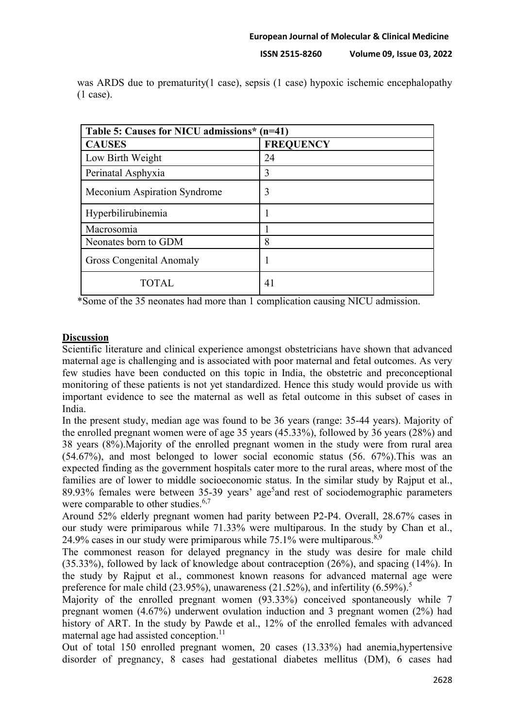|                      | was ARDS due to prematurity(1 case), sepsis (1 case) hypoxic ischemic encephalopathy |  |  |  |  |
|----------------------|--------------------------------------------------------------------------------------|--|--|--|--|
| $(1 \text{ case})$ . |                                                                                      |  |  |  |  |

| Table 5: Causes for NICU admissions* (n=41) |                  |  |  |
|---------------------------------------------|------------------|--|--|
| <b>CAUSES</b>                               | <b>FREQUENCY</b> |  |  |
| Low Birth Weight                            | 24               |  |  |
| Perinatal Asphyxia                          | 3                |  |  |
| Meconium Aspiration Syndrome                | 3                |  |  |
| Hyperbilirubinemia                          |                  |  |  |
| Macrosomia                                  |                  |  |  |
| Neonates born to GDM                        | 8                |  |  |
| <b>Gross Congenital Anomaly</b>             |                  |  |  |
| TOTAL.                                      | 41               |  |  |

\*Some of the 35 neonates had more than 1 complication causing NICU admission.

# **Discussion**

Scientific literature and clinical experience amongst obstetricians have shown that advanced maternal age is challenging and is associated with poor maternal and fetal outcomes. As very few studies have been conducted on this topic in India, the obstetric and preconceptional monitoring of these patients is not yet standardized. Hence this study would provide us with important evidence to see the maternal as well as fetal outcome in this subset of cases in India.

In the present study, median age was found to be 36 years (range: 35-44 years). Majority of the enrolled pregnant women were of age 35 years (45.33%), followed by 36 years (28%) and 38 years (8%).Majority of the enrolled pregnant women in the study were from rural area (54.67%), and most belonged to lower social economic status (56. 67%).This was an expected finding as the government hospitals cater more to the rural areas, where most of the families are of lower to middle socioeconomic status. In the similar study by Rajput et al., 89.93% females were between 35-39 years' age<sup>5</sup>and rest of sociodemographic parameters were comparable to other studies.<sup>6,7</sup>

Around 52% elderly pregnant women had parity between P2-P4. Overall, 28.67% cases in our study were primiparous while 71.33% were multiparous. In the study by Chan et al., 24.9% cases in our study were primiparous while  $75.1\%$  were multiparous.<sup>8,9</sup>

The commonest reason for delayed pregnancy in the study was desire for male child (35.33%), followed by lack of knowledge about contraception (26%), and spacing (14%). In the study by Rajput et al., commonest known reasons for advanced maternal age were preference for male child (23.95%), unawareness (21.52%), and infertility (6.59%).<sup>5</sup>

Majority of the enrolled pregnant women (93.33%) conceived spontaneously while 7 pregnant women (4.67%) underwent ovulation induction and 3 pregnant women (2%) had history of ART. In the study by Pawde et al., 12% of the enrolled females with advanced maternal age had assisted conception.<sup>11</sup>

Out of total 150 enrolled pregnant women, 20 cases (13.33%) had anemia,hypertensive disorder of pregnancy, 8 cases had gestational diabetes mellitus (DM), 6 cases had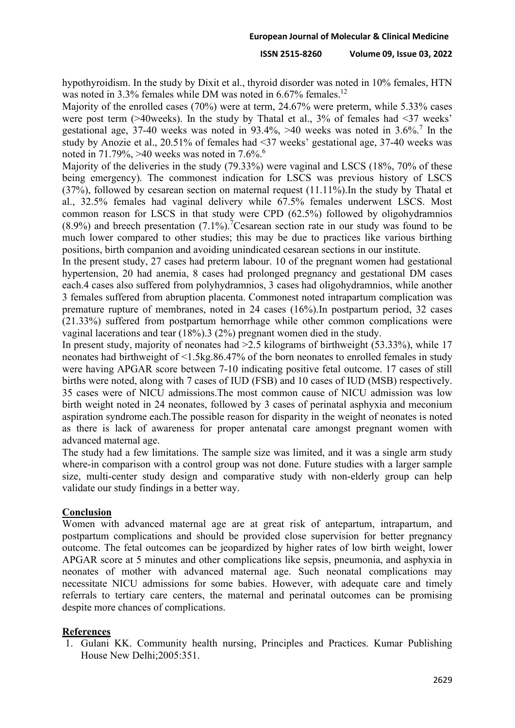hypothyroidism. In the study by Dixit et al., thyroid disorder was noted in 10% females, HTN was noted in 3.3% females while DM was noted in  $6.67\%$  females.<sup>12</sup>

Majority of the enrolled cases (70%) were at term, 24.67% were preterm, while 5.33% cases were post term (>40weeks). In the study by Thatal et al., 3% of females had <37 weeks' gestational age, 37-40 weeks was noted in  $93.4\%$ ,  $>40$  weeks was noted in 3.6%.<sup>7</sup> In the study by Anozie et al., 20.51% of females had <37 weeks' gestational age, 37-40 weeks was noted in 71.79%, >40 weeks was noted in  $7.6\%$ .<sup>6</sup>

Majority of the deliveries in the study (79.33%) were vaginal and LSCS (18%, 70% of these being emergency). The commonest indication for LSCS was previous history of LSCS (37%), followed by cesarean section on maternal request (11.11%).In the study by Thatal et al., 32.5% females had vaginal delivery while 67.5% females underwent LSCS. Most common reason for LSCS in that study were CPD (62.5%) followed by oligohydramnios  $(8.9\%)$  and breech presentation  $(7.1\%)$ . Cesarean section rate in our study was found to be much lower compared to other studies; this may be due to practices like various birthing positions, birth companion and avoiding unindicated cesarean sections in our institute.

In the present study, 27 cases had preterm labour. 10 of the pregnant women had gestational hypertension, 20 had anemia, 8 cases had prolonged pregnancy and gestational DM cases each.4 cases also suffered from polyhydramnios, 3 cases had oligohydramnios, while another 3 females suffered from abruption placenta. Commonest noted intrapartum complication was premature rupture of membranes, noted in 24 cases (16%).In postpartum period, 32 cases (21.33%) suffered from postpartum hemorrhage while other common complications were vaginal lacerations and tear (18%).3 (2%) pregnant women died in the study.

In present study, majority of neonates had >2.5 kilograms of birthweight (53.33%), while 17 neonates had birthweight of <1.5kg.86.47% of the born neonates to enrolled females in study were having APGAR score between 7-10 indicating positive fetal outcome. 17 cases of still births were noted, along with 7 cases of IUD (FSB) and 10 cases of IUD (MSB) respectively. 35 cases were of NICU admissions.The most common cause of NICU admission was low birth weight noted in 24 neonates, followed by 3 cases of perinatal asphyxia and meconium aspiration syndrome each.The possible reason for disparity in the weight of neonates is noted as there is lack of awareness for proper antenatal care amongst pregnant women with advanced maternal age.

The study had a few limitations. The sample size was limited, and it was a single arm study where-in comparison with a control group was not done. Future studies with a larger sample size, multi-center study design and comparative study with non-elderly group can help validate our study findings in a better way.

# **Conclusion**

Women with advanced maternal age are at great risk of antepartum, intrapartum, and postpartum complications and should be provided close supervision for better pregnancy outcome. The fetal outcomes can be jeopardized by higher rates of low birth weight, lower APGAR score at 5 minutes and other complications like sepsis, pneumonia, and asphyxia in neonates of mother with advanced maternal age. Such neonatal complications may necessitate NICU admissions for some babies. However, with adequate care and timely referrals to tertiary care centers, the maternal and perinatal outcomes can be promising despite more chances of complications.

# **References**

1. Gulani KK. Community health nursing, Principles and Practices. Kumar Publishing House New Delhi;2005:351.